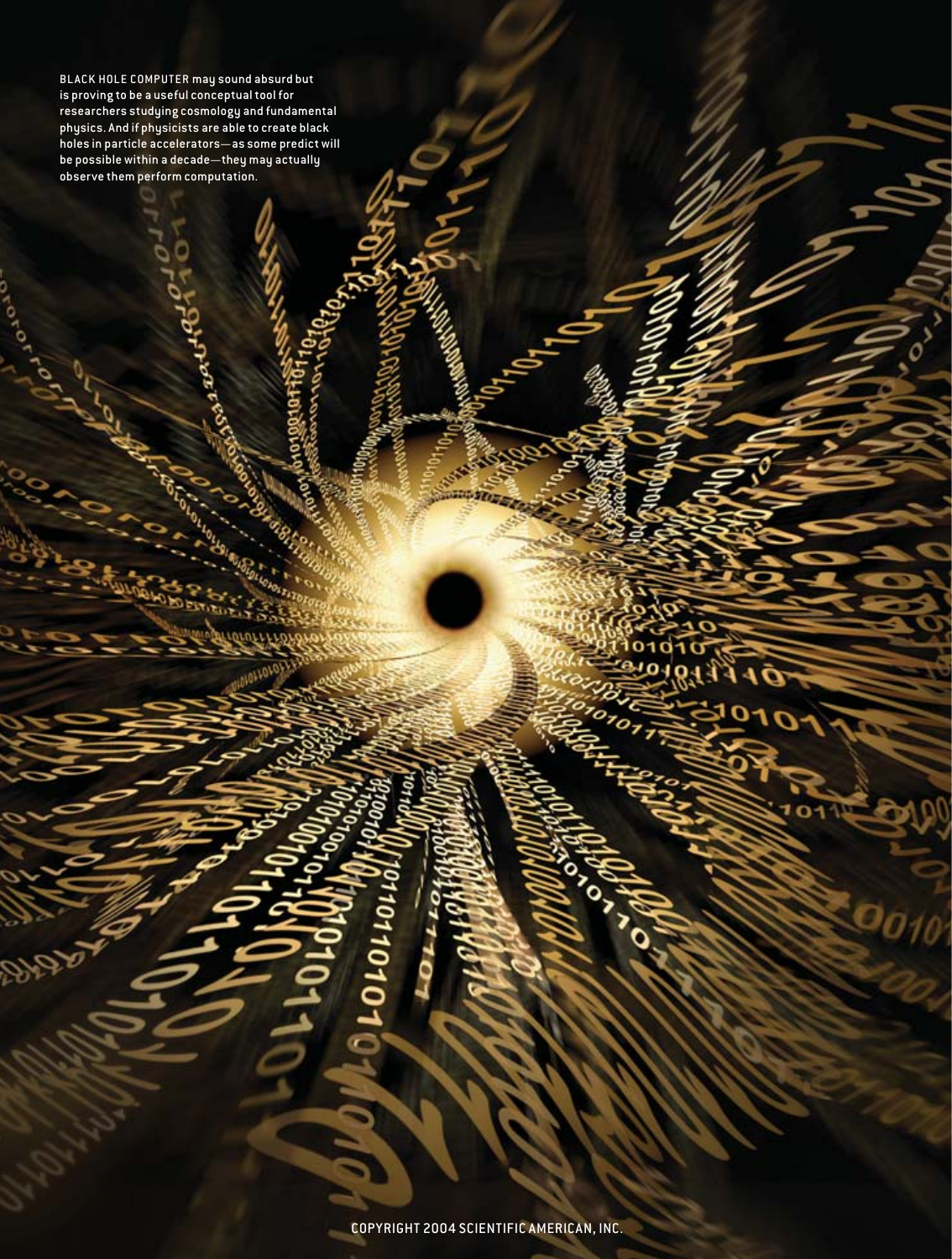BLACK HOLE COMPUTER may sound absurd but is proving to be a useful conceptual tool for researchers studying cosmology and fundamental physics. And if physicists are able to create black holes in particle accelerators—as some predict will be possible within a decade—they may actually observe them perform computation.

icoror

 $\sim$   $\sim$ conubium santet incredibiliter  $\sim$ bellis.Catelli suffragarit perspicax fi ducia suis, quod pretosius umbraculi adquireret Caesar. Cathedras

ë

ò,

 $\boldsymbol{\iota_{0}}$ 

010

Ω

 $\delta_{\rho}$ 

œ 1

01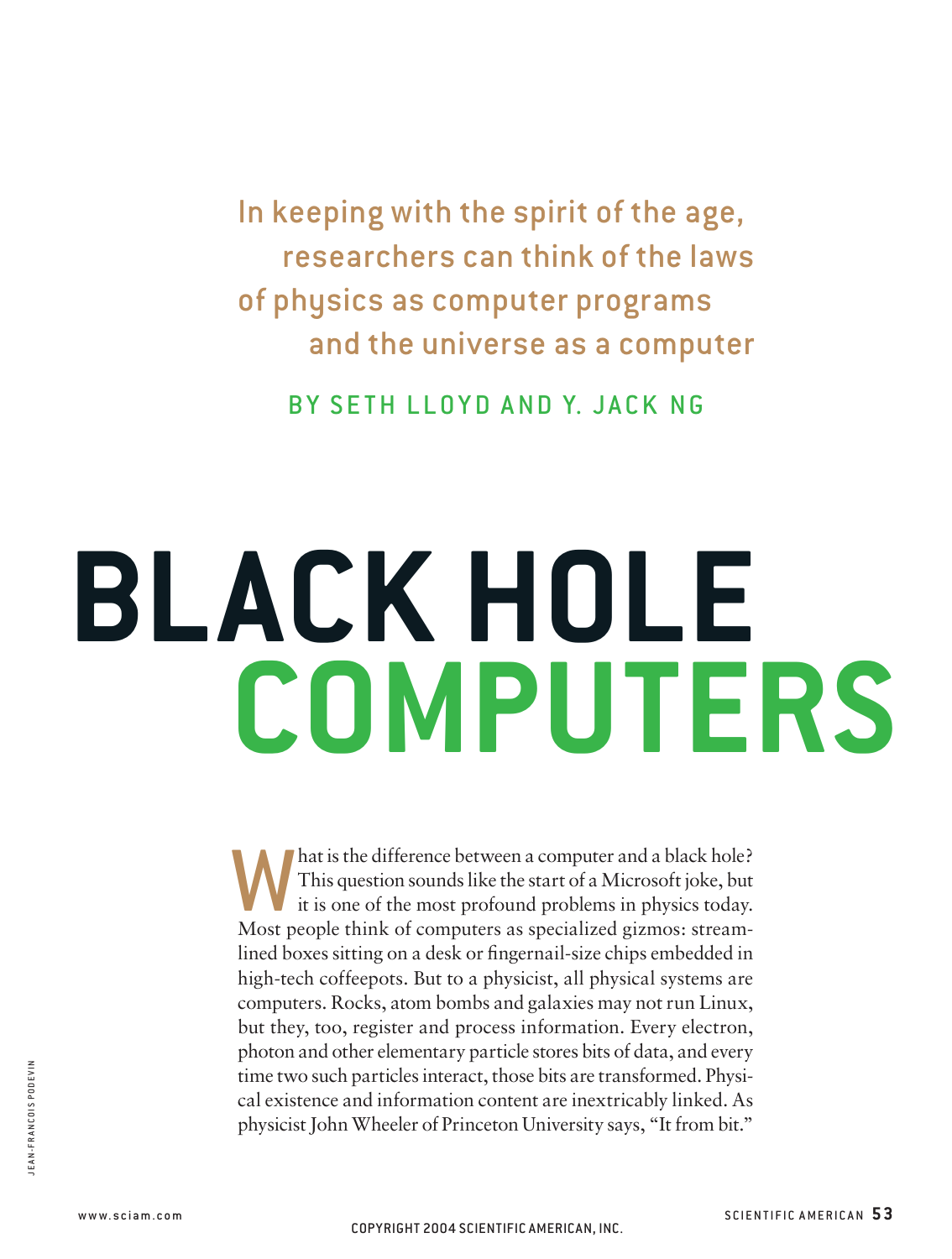In keeping with the spirit of the age, researchers can think of the laws of physics as computer programs and the universe as a computer

BY SETH LLOYD AND Y. JACK NG

# **BLACK HOLE COMPUTERS**

What is the difference between a computer and a black hole?<br>This question sounds like the start of a Microsoft joke, but<br>it is one of the most profound problems in physics today.<br>Most people think of computers as specializ This question sounds like the start of a Microsoft joke, but it is one of the most profound problems in physics today. Most people think of computers as specialized gizmos: streamlined boxes sitting on a desk or fingernail-size chips embedded in high-tech coffeepots. But to a physicist, all physical systems are computers. Rocks, atom bombs and galaxies may not run Linux, but they, too, register and process information. Every electron, photon and other elementary particle stores bits of data, and every time two such particles interact, those bits are transformed. Physical existence and information content are inextricably linked. As physicist John Wheeler of Princeton University says, "It from bit."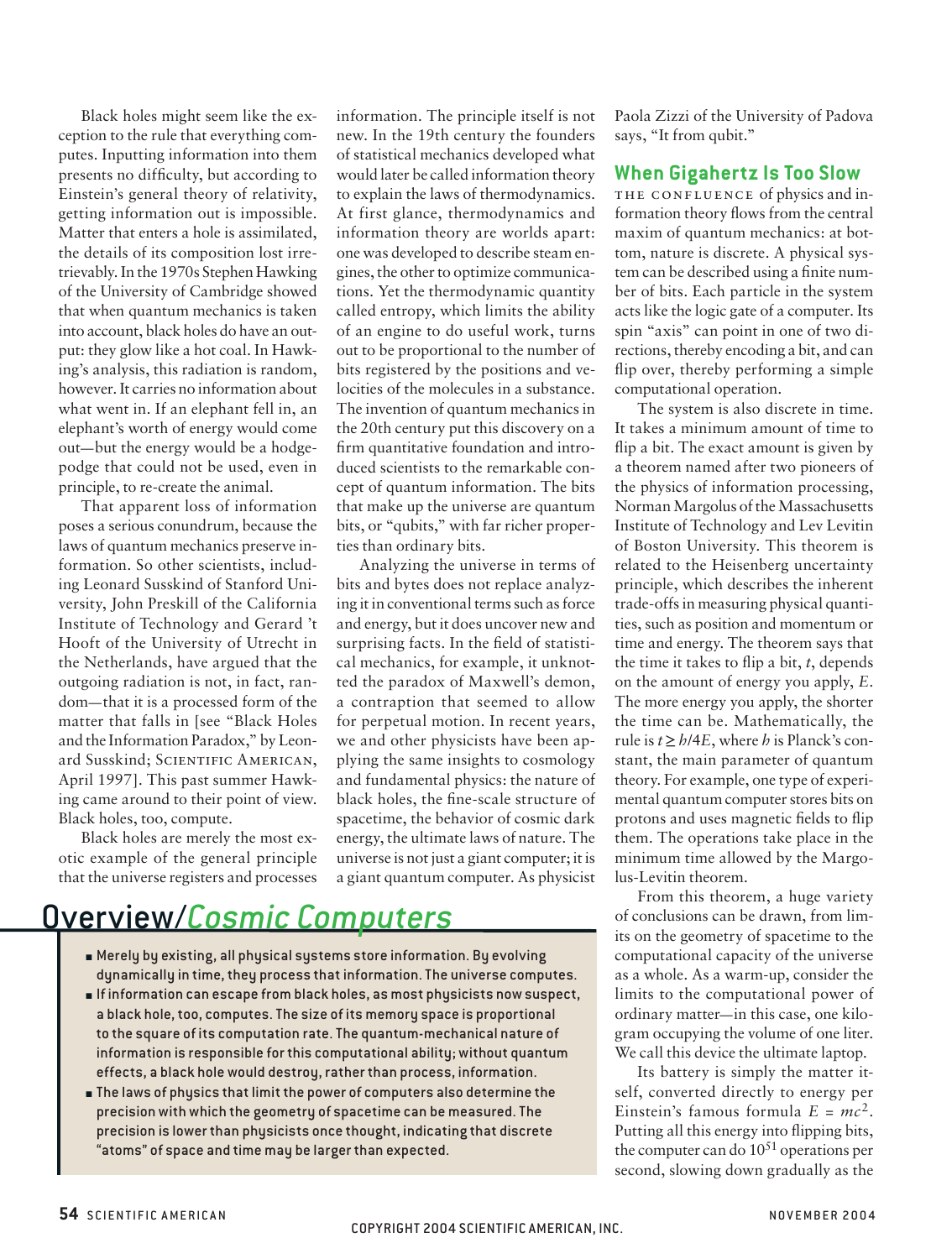Black holes might seem like the exception to the rule that everything computes. Inputting information into them presents no difficulty, but according to Einstein's general theory of relativity, getting information out is impossible. Matter that enters a hole is assimilated, the details of its composition lost irretrievably. In the 1970s Stephen Hawking of the University of Cambridge showed that when quantum mechanics is taken into account, black holes do have an output: they glow like a hot coal. In Hawking's analysis, this radiation is random, however. It carries no information about what went in. If an elephant fell in, an elephant's worth of energy would come out—but the energy would be a hodgepodge that could not be used, even in principle, to re-create the animal.

That apparent loss of information poses a serious conundrum, because the laws of quantum mechanics preserve information. So other scientists, including Leonard Susskind of Stanford University, John Preskill of the California Institute of Technology and Gerard 't Hooft of the University of Utrecht in the Netherlands, have argued that the outgoing radiation is not, in fact, random—that it is a processed form of the matter that falls in [see "Black Holes and the Information Paradox," by Leonard Susskind; SCIENTIFIC AMERICAN, April 1997]. This past summer Hawking came around to their point of view. Black holes, too, compute.

Black holes are merely the most exotic example of the general principle that the universe registers and processes information. The principle itself is not new. In the 19th century the founders of statistical mechanics developed what would later be called information theory to explain the laws of thermodynamics. At first glance, thermodynamics and information theory are worlds apart: one was developed to describe steam engines, the other to optimize communications. Yet the thermodynamic quantity called entropy, which limits the ability of an engine to do useful work, turns out to be proportional to the number of bits registered by the positions and velocities of the molecules in a substance. The invention of quantum mechanics in the 20th century put this discovery on a firm quantitative foundation and introduced scientists to the remarkable concept of quantum information. The bits that make up the universe are quantum bits, or "qubits," with far richer properties than ordinary bits.

Analyzing the universe in terms of bits and bytes does not replace analyzing it in conventional terms such as force and energy, but it does uncover new and surprising facts. In the field of statistical mechanics, for example, it unknotted the paradox of Maxwell's demon, a contraption that seemed to allow for perpetual motion. In recent years, we and other physicists have been applying the same insights to cosmology and fundamental physics: the nature of black holes, the fine-scale structure of spacetime, the behavior of cosmic dark energy, the ultimate laws of nature. The universe is not just a giant computer; it is a giant quantum computer. As physicist

## Overview/*Cosmic Computers*

- Merely by existing, all physical systems store information. By evolving dynamically in time, they process that information. The universe computes.
- If information can escape from black holes, as most physicists now suspect, a black hole, too, computes. The size of its memory space is proportional to the square of its computation rate. The quantum-mechanical nature of information is responsible for this computational ability; without quantum effects, a black hole would destroy, rather than process, information.
- The laws of physics that limit the power of computers also determine the precision with which the geometry of spacetime can be measured. The precision is lower than physicists once thought, indicating that discrete "atoms" of space and time may be larger than expected.

Paola Zizzi of the University of Padova says, "It from qubit."

#### **When Gigahertz Is Too Slow**

THE CONFLUENCE of physics and information theory flows from the central maxim of quantum mechanics: at bottom, nature is discrete. A physical system can be described using a finite number of bits. Each particle in the system acts like the logic gate of a computer. Its spin "axis" can point in one of two directions, thereby encoding a bit, and can flip over, thereby performing a simple computational operation.

The system is also discrete in time. It takes a minimum amount of time to flip a bit. The exact amount is given by a theorem named after two pioneers of the physics of information processing, Norman Margolus of the Massachusetts Institute of Technology and Lev Levitin of Boston University. This theorem is related to the Heisenberg uncertainty principle, which describes the inherent trade-offs in measuring physical quantities, such as position and momentum or time and energy. The theorem says that the time it takes to flip a bit,  $t$ , depends on the amount of energy you apply, *E*. The more energy you apply, the shorter the time can be. Mathematically, the rule is  $t \ge h/4E$ , where *h* is Planck's constant, the main parameter of quantum theory. For example, one type of experimental quantum computer stores bits on protons and uses magnetic fields to flip them. The operations take place in the minimum time allowed by the Margolus-Levitin theorem.

From this theorem, a huge variety of conclusions can be drawn, from limits on the geometry of spacetime to the computational capacity of the universe as a whole. As a warm-up, consider the limits to the computational power of ordinary matter—in this case, one kilogram occupying the volume of one liter. We call this device the ultimate laptop.

Its battery is simply the matter itself, converted directly to energy per Einstein's famous formula  $E = mc^2$ . Putting all this energy into flipping bits, the computer can do  $10^{51}$  operations per second, slowing down gradually as the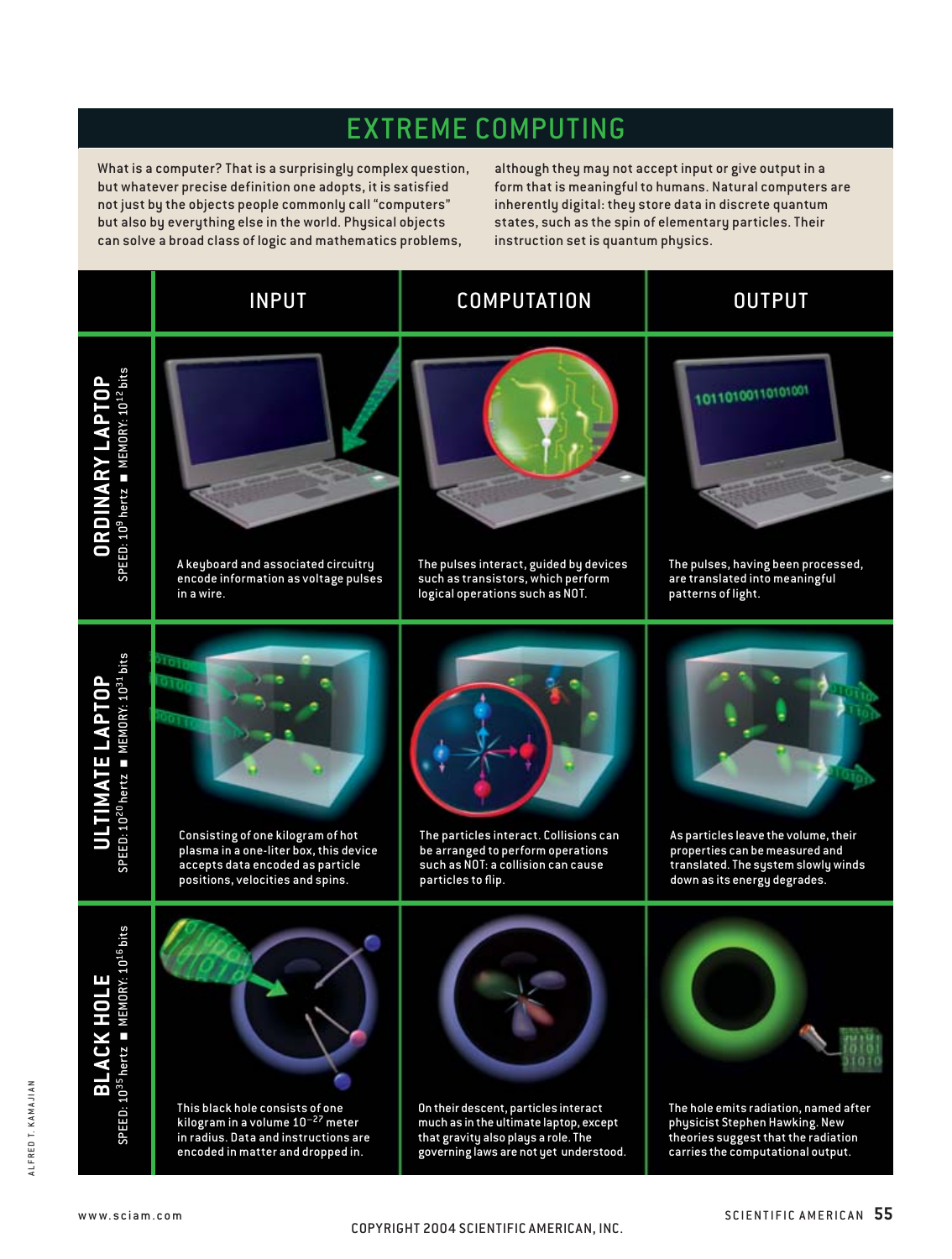## EXTREME COMPUTING

What is a computer? That is a surprisingly complex question, but whatever precise definition one adopts, it is satisfied not just by the objects people commonly call "computers" but also by everything else in the world. Physical objects can solve a broad class of logic and mathematics problems,

although they may not accept input or give output in a form that is meaningful to humans. Natural computers are inherently digital: they store data in discrete quantum states, such as the spin of elementary particles. Their instruction set is quantum physics.

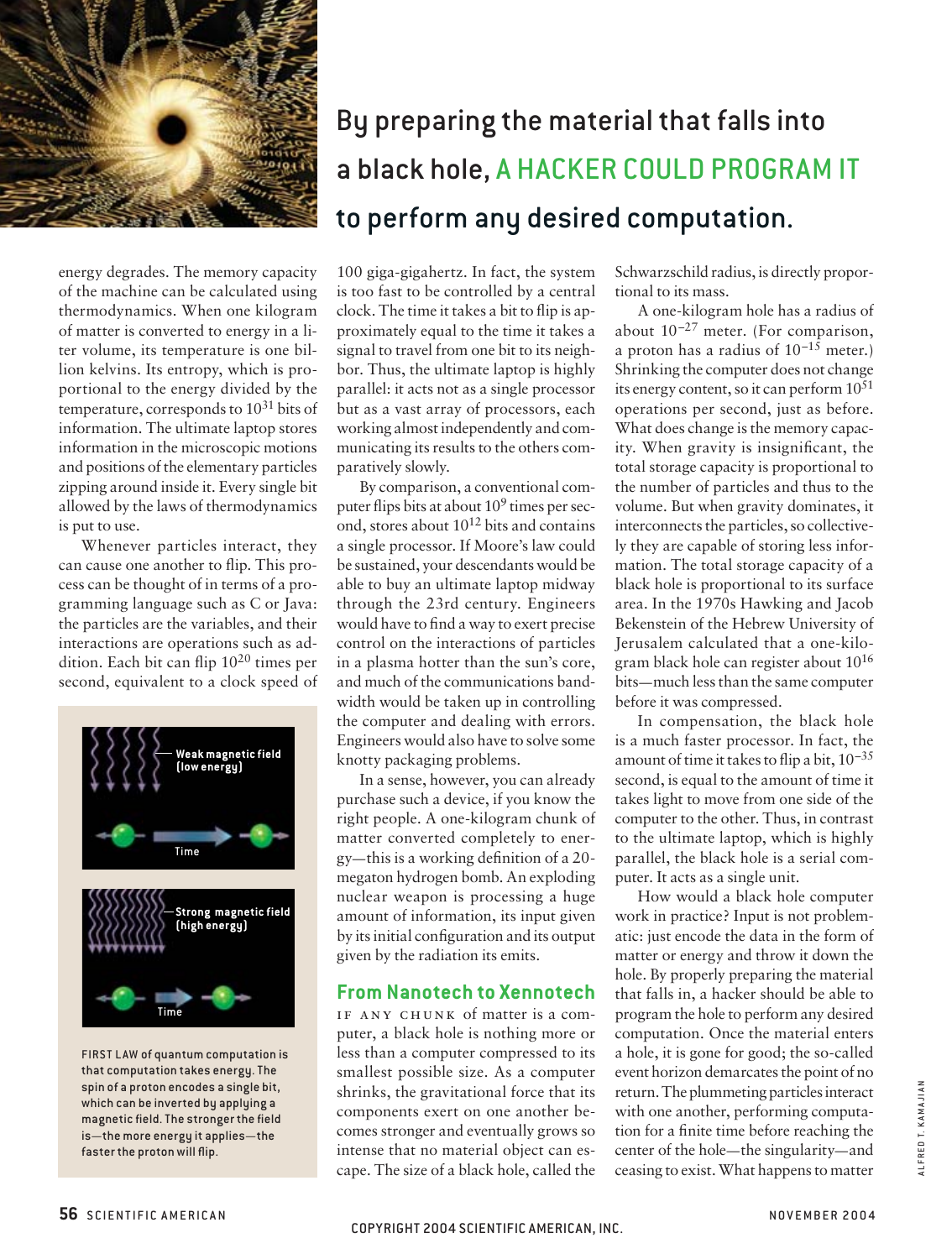

energy degrades. The memory capacity of the machine can be calculated using thermodynamics. When one kilogram of matter is converted to energy in a liter volume, its temperature is one billion kelvins. Its entropy, which is proportional to the energy divided by the temperature, corresponds to  $10^{31}$  bits of information. The ultimate laptop stores information in the microscopic motions and positions of the elementary particles zipping around inside it. Every single bit allowed by the laws of thermodynamics is put to use.

Whenever particles interact, they can cause one another to flip. This process can be thought of in terms of a programming language such as C or Java: the particles are the variables, and their interactions are operations such as addition. Each bit can flip  $10^{20}$  times per second, equivalent to a clock speed of



FIRST LAW of quantum computation is that computation takes energy. The spin of a proton encodes a single bit, which can be inverted by applying a magnetic field. The stronger the field is—the more energy it applies—the faster the proton will flip.

# By preparing the material that falls into a black hole, A HACKER COULD PROGRAM IT to perform any desired computation.

100 giga-gigahertz. In fact, the system is too fast to be controlled by a central clock. The time it takes a bit to flip is approximately equal to the time it takes a signal to travel from one bit to its neighbor. Thus, the ultimate laptop is highly parallel: it acts not as a single processor but as a vast array of processors, each working almost independently and communicating its results to the others comparatively slowly.

By comparison, a conventional computer flips bits at about  $10^9$  times per second, stores about  $10^{12}$  bits and contains a single processor. If Moore's law could be sustained, your descendants would be able to buy an ultimate laptop midway through the 23rd century. Engineers would have to find a way to exert precise control on the interactions of particles in a plasma hotter than the sun's core, and much of the communications bandwidth would be taken up in controlling the computer and dealing with errors. Engineers would also have to solve some knotty packaging problems.

In a sense, however, you can already purchase such a device, if you know the right people. A one-kilogram chunk of matter converted completely to ener $gy$ —this is a working definition of a 20megaton hydrogen bomb. An exploding nuclear weapon is processing a huge amount of information, its input given by its initial configuration and its output given by the radiation its emits.

#### **From Nanotech to Xennotech**

if any chunk of matter is a computer, a black hole is nothing more or less than a computer compressed to its smallest possible size. As a computer shrinks, the gravitational force that its components exert on one another becomes stronger and eventually grows so intense that no material object can escape. The size of a black hole, called the Schwarzschild radius, is directly proportional to its mass.

A one-kilogram hole has a radius of about  $10^{-27}$  meter. (For comparison, a proton has a radius of  $10^{-15}$  meter.) Shrinking the computer does not change its energy content, so it can perform  $10^{51}$ operations per second, just as before. What does change is the memory capacity. When gravity is insignificant, the total storage capacity is proportional to the number of particles and thus to the volume. But when gravity dominates, it interconnects the particles, so collectively they are capable of storing less information. The total storage capacity of a black hole is proportional to its surface area. In the 1970s Hawking and Jacob Bekenstein of the Hebrew University of Jerusalem calculated that a one-kilogram black hole can register about 1016 bits—much less than the same computer before it was compressed.

In compensation, the black hole is a much faster processor. In fact, the amount of time it takes to flip a bit,  $10^{-35}$ second, is equal to the amount of time it takes light to move from one side of the computer to the other. Thus, in contrast to the ultimate laptop, which is highly parallel, the black hole is a serial computer. It acts as a single unit.

How would a black hole computer work in practice? Input is not problematic: just encode the data in the form of matter or energy and throw it down the hole. By properly preparing the material that falls in, a hacker should be able to program the hole to perform any desired computation. Once the material enters a hole, it is gone for good; the so-called event horizon demarcates the point of no return. The plummeting particles interact with one another, performing computation for a finite time before reaching the center of the hole—the singularity—and ceasing to exist. What happens to matter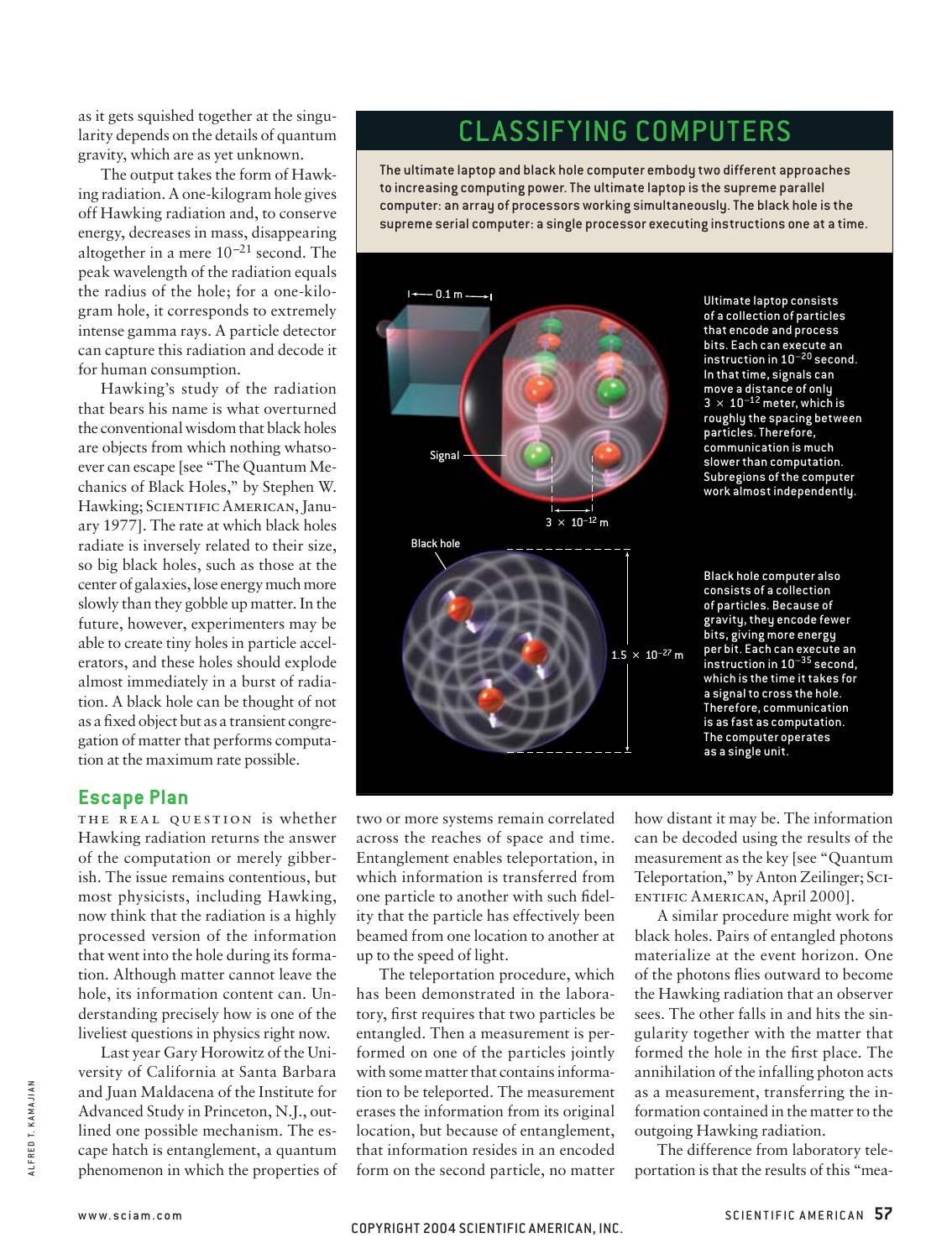as it gets squished together at the singularity depends on the details of quantum gravity, which are as yet unknown.

The output takes the form of Hawking radiation. A one-kilogram hole gives off Hawking radiation and, to conserve energy, decreases in mass, disappearing altogether in a mere 10–21 second. The peak wavelength of the radiation equals the radius of the hole; for a one-kilogram hole, it corresponds to extremely intense gamma rays. A particle detector can capture this radiation and decode it for human consumption.

Hawking's study of the radiation that bears his name is what overturned the conventional wisdom that black holes are objects from which nothing whatsoever can escape [see "The Quantum Mechanics of Black Holes," by Stephen W. Hawking; SCIENTIFIC AMERICAN, January 1977]. The rate at which black holes radiate is inversely related to their size, so big black holes, such as those at the center of galaxies, lose energy much more slowly than they gobble up matter. In the future, however, experimenters may be able to create tiny holes in particle accelerators, and these holes should explode almost immediately in a burst of radiation. A black hole can be thought of not as a fixed object but as a transient congregation of matter that performs computation at the maximum rate possible.

#### **Escape Plan**

THE REAL QUESTION is whether Hawking radiation returns the answer of the computation or merely gibberish. The issue remains contentious, but most physicists, including Hawking, now think that the radiation is a highly processed version of the information that went into the hole during its formation. Although matter cannot leave the hole, its information content can. Understanding precisely how is one of the liveliest questions in physics right now.

Last year Gary Horowitz of the University of California at Santa Barbara and Juan Maldacena of the Institute for Advanced Study in Princeton, N.J., outlined one possible mechanism. The escape hatch is entanglement, a quantum phenomenon in which the properties of

## CLASSIFYING COMPUTERS

The ultimate laptop and black hole computer embody two different approaches to increasing computing power. The ultimate laptop is the supreme parallel computer: an array of processors working simultaneously. The black hole is the supreme serial computer: a single processor executing instructions one at a time.



two or more systems remain correlated across the reaches of space and time. Entanglement enables teleportation, in which information is transferred from one particle to another with such fidelity that the particle has effectively been beamed from one location to another at up to the speed of light.

The teleportation procedure, which has been demonstrated in the laboratory, first requires that two particles be entangled. Then a measurement is performed on one of the particles jointly with some matter that contains information to be teleported. The measurement erases the information from its original location, but because of entanglement, that information resides in an encoded form on the second particle, no matter

how distant it may be. The information can be decoded using the results of the measurement as the key [see "Quantum Teleportation," by Anton Zeilinger; Sci-ENTIFIC AMERICAN, April 2000].

A similar procedure might work for black holes. Pairs of entangled photons materialize at the event horizon. One of the photons flies outward to become the Hawking radiation that an observer sees. The other falls in and hits the singularity together with the matter that formed the hole in the first place. The annihilation of the infalling photon acts as a measurement, transferring the information contained in the matter to the outgoing Hawking radiation.

The difference from laboratory teleportation is that the results of this "mea-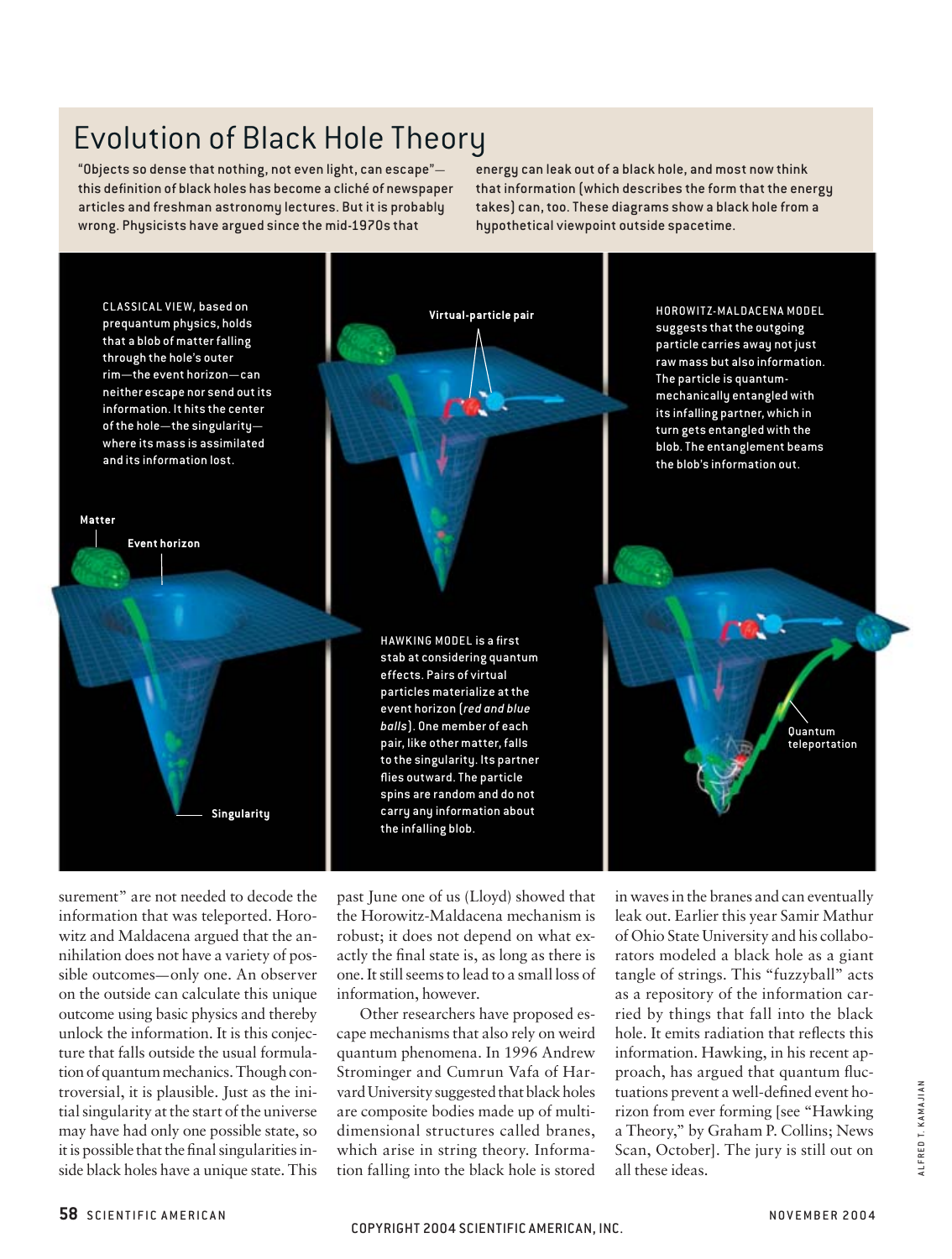## Evolution of Black Hole Theory

"Objects so dense that nothing, not even light, can escape" this definition of black holes has become a cliché of newspaper articles and freshman astronomy lectures. But it is probably wrong. Physicists have argued since the mid-1970s that

energy can leak out of a black hole, and most now think that information (which describes the form that the energy takes) can, too. These diagrams show a black hole from a hypothetical viewpoint outside spacetime.



surement" are not needed to decode the information that was teleported. Horowitz and Maldacena argued that the annihilation does not have a variety of possible outcomes—only one. An observer on the outside can calculate this unique outcome using basic physics and thereby unlock the information. It is this conjecture that falls outside the usual formulation of quantum mechanics. Though controversial, it is plausible. Just as the initial singularity at the start of the universe may have had only one possible state, so it is possible that the final singularities inside black holes have a unique state. This

past June one of us (Lloyd) showed that the Horowitz-Maldacena mechanism is robust; it does not depend on what exactly the final state is, as long as there is one. It still seems to lead to a small loss of information, however.

Other researchers have proposed escape mechanisms that also rely on weird quantum phenomena. In 1996 Andrew Strominger and Cumrun Vafa of Harvard University suggested that black holes are composite bodies made up of multidimensional structures called branes, which arise in string theory. Information falling into the black hole is stored

in waves in the branes and can eventually leak out. Earlier this year Samir Mathur of Ohio State University and his collaborators modeled a black hole as a giant tangle of strings. This "fuzzyball" acts as a repository of the information carried by things that fall into the black hole. It emits radiation that reflects this information. Hawking, in his recent approach, has argued that quantum fluctuations prevent a well-defined event horizon from ever forming [see "Hawking a Theory," by Graham P. Collins; News Scan, October]. The jury is still out on all these ideas.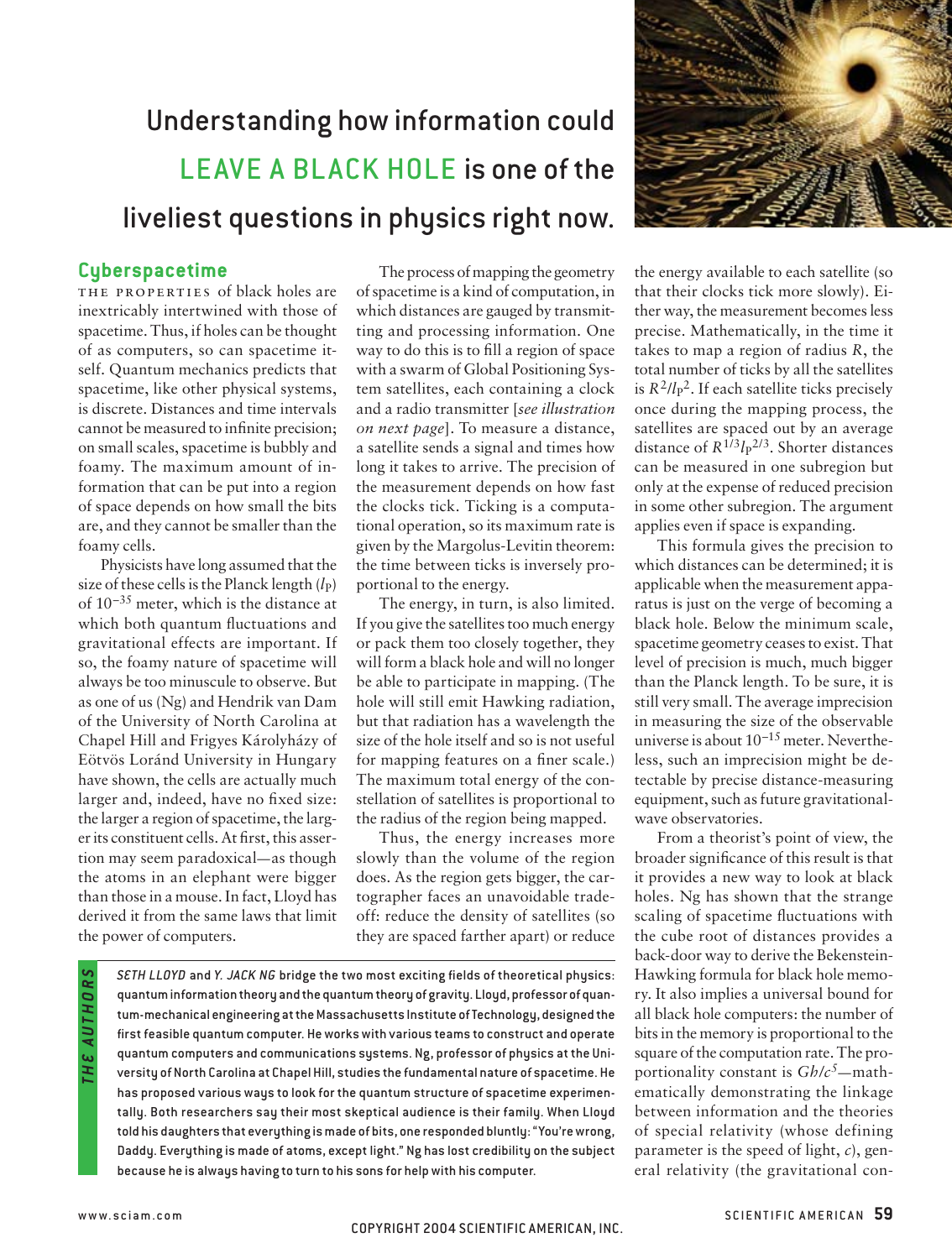# Understanding how information could LEAVE A BLACK HOLE is one of the liveliest questions in physics right now.

#### **Cyberspacetime**

THE PROPERTIES of black holes are inextricably intertwined with those of spacetime. Thus, if holes can be thought of as computers, so can spacetime itself. Quantum mechanics predicts that spacetime, like other physical systems, is discrete. Distances and time intervals cannot be measured to infinite precision; on small scales, spacetime is bubbly and foamy. The maximum amount of information that can be put into a region of space depends on how small the bits are, and they cannot be smaller than the foamy cells.

Physicists have long assumed that the size of these cells is the Planck length  $(l_P)$ of 10–35 meter, which is the distance at which both quantum fluctuations and gravitational effects are important. If so, the foamy nature of spacetime will always be too minuscule to observe. But as one of us (Ng) and Hendrik van Dam of the University of North Carolina at Chapel Hill and Frigyes Károlyházy of Eötvös Loránd University in Hungary have shown, the cells are actually much larger and, indeed, have no fixed size: the larger a region of spacetime, the larger its constituent cells. At first, this assertion may seem paradoxical—as though the atoms in an elephant were bigger than those in a mouse. In fact, Lloyd has derived it from the same laws that limit the power of computers.

The process of mapping the geometry of spacetime is a kind of computation, in which distances are gauged by transmitting and processing information. One way to do this is to fill a region of space with a swarm of Global Positioning System satellites, each containing a clock and a radio transmitter [*see illustration on next page*]. To measure a distance, a satellite sends a signal and times how long it takes to arrive. The precision of the measurement depends on how fast the clocks tick. Ticking is a computational operation, so its maximum rate is given by the Margolus-Levitin theorem: the time between ticks is inversely proportional to the energy.

The energy, in turn, is also limited. If you give the satellites too much energy or pack them too closely together, they will form a black hole and will no longer be able to participate in mapping. (The hole will still emit Hawking radiation, but that radiation has a wavelength the size of the hole itself and so is not useful for mapping features on a finer scale.) The maximum total energy of the constellation of satellites is proportional to the radius of the region being mapped.

Thus, the energy increases more slowly than the volume of the region does. As the region gets bigger, the cartographer faces an unavoidable tradeoff: reduce the density of satellites (so they are spaced farther apart) or reduce



quantum information theory and the quantum theory of gravity. Lloyd, professor of quantum-mechanical engineering at the Massachusetts Institute of Technology, designed the first feasible quantum computer. He works with various teams to construct and operate quantum computers and communications systems. Ng, professor of physics at the University of North Carolina at Chapel Hill, studies the fundamental nature of spacetime. He has proposed various ways to look for the quantum structure of spacetime experimentally. Both researchers say their most skeptical audience is their family. When Lloyd told his daughters that everything is made of bits, one responded bluntly: "You're wrong, Daddy. Everything is made of atoms, except light." Ng has lost credibility on the subject because he is always having to turn to his sons for help with his computer.

**SETH LLOYD and** *Y. JACK NG* bridge the two most exciting fields of theoretical physics:



the energy available to each satellite (so that their clocks tick more slowly). Either way, the measurement becomes less precise. Mathematically, in the time it takes to map a region of radius *R*, the total number of ticks by all the satellites is  $R^2/l_P^2$ . If each satellite ticks precisely once during the mapping process, the satellites are spaced out by an average distance of  $R^{1/3}l_P^{2/3}$ . Shorter distances can be measured in one subregion but only at the expense of reduced precision in some other subregion. The argument applies even if space is expanding.

This formula gives the precision to which distances can be determined; it is applicable when the measurement apparatus is just on the verge of becoming a black hole. Below the minimum scale, spacetime geometry ceases to exist. That level of precision is much, much bigger than the Planck length. To be sure, it is still very small. The average imprecision in measuring the size of the observable universe is about  $10^{-15}$  meter. Nevertheless, such an imprecision might be detectable by precise distance-measuring equipment, such as future gravitationalwave observatories.

From a theorist's point of view, the broader significance of this result is that it provides a new way to look at black holes. Ng has shown that the strange scaling of spacetime fluctuations with the cube root of distances provides a back-door way to derive the Bekenstein-Hawking formula for black hole memory. It also implies a universal bound for all black hole computers: the number of bits in the memory is proportional to the square of the computation rate. The proportionality constant is *Gh/c5*—mathematically demonstrating the linkage between information and the theories of special relativity (whose defining parameter is the speed of light, *c*), general relativity (the gravitational con-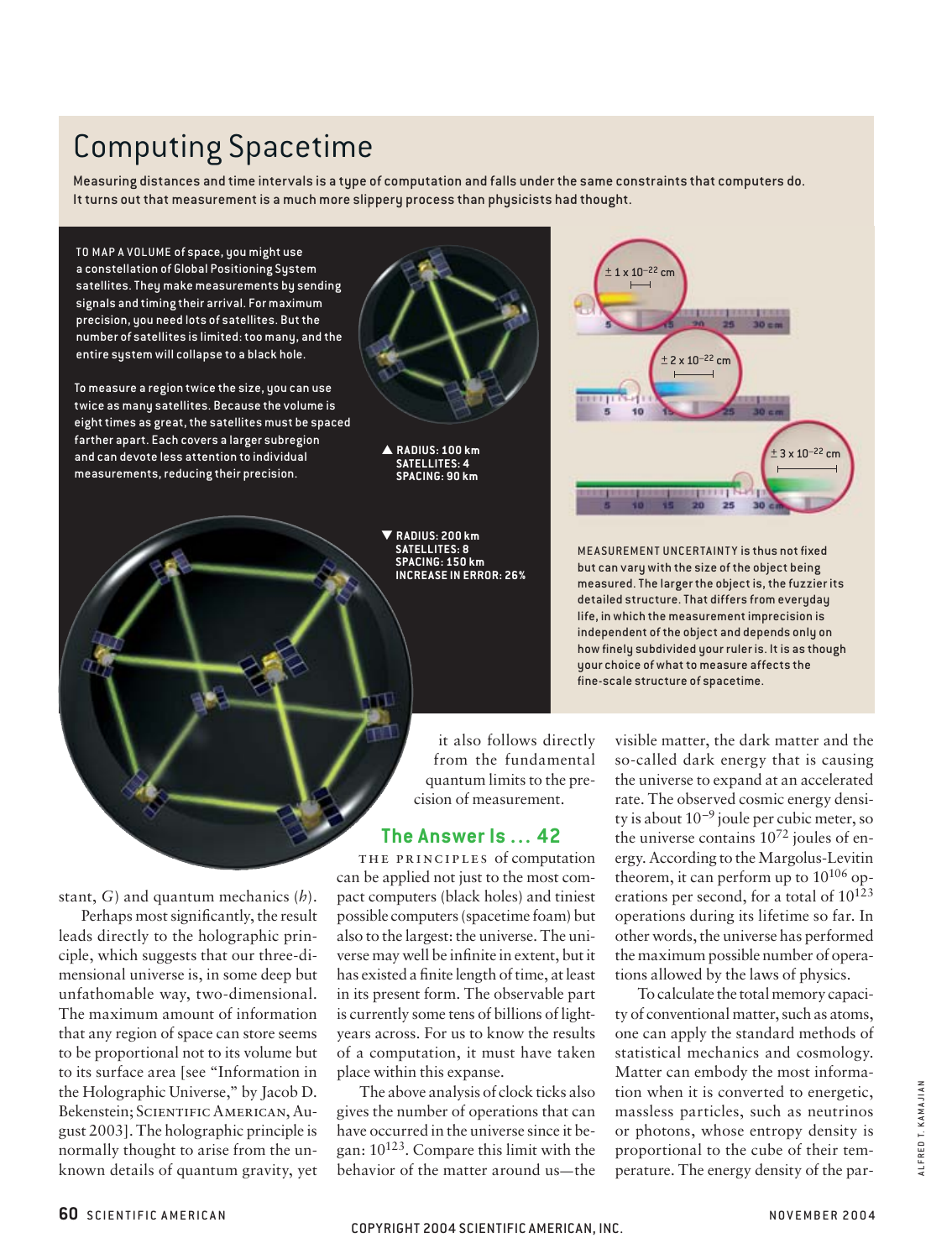## Computing Spacetime

Measuring distances and time intervals is a type of computation and falls under the same constraints that computers do. It turns out that measurement is a much more slippery process than physicists had thought.

TO MAP A VOLUME of space, you might use a constellation of Global Positioning System satellites. They make measurements by sending signals and timing their arrival. For maximum precision, you need lots of satellites. But the number of satellites is limited: too many, and the entire system will collapse to a black hole.

To measure a region twice the size, you can use twice as many satellites. Because the volume is eight times as great, the satellites must be spaced farther apart. Each covers a larger subregion and can devote less attention to individual measurements, reducing their precision.



▲ **RADIUS: 100 km SATELLITES: 4 SPACING: 90 km**

▼ **RADIUS: 200 km SATELLITES: 8 SPACING: 150 km INCREASE IN ERROR: 26%**



MEASUREMENT UNCERTAINTY is thus not fixed but can vary with the size of the object being measured. The larger the object is, the fuzzier its detailed structure. That differs from everyday life, in which the measurement imprecision is independent of the object and depends only on how finely subdivided your ruler is. It is as though your choice of what to measure affects the fine-scale structure of spacetime.

it also follows directly from the fundamental quantum limits to the precision of measurement.

### **The Answer Is ... 42**

the principles of computation can be applied not just to the most compact computers (black holes) and tiniest possible computers (spacetime foam) but also to the largest: the universe. The universe may well be infinite in extent, but it has existed a finite length of time, at least in its present form. The observable part is currently some tens of billions of lightyears across. For us to know the results of a computation, it must have taken place within this expanse.

The above analysis of clock ticks also gives the number of operations that can have occurred in the universe since it began:  $10^{123}$ . Compare this limit with the behavior of the matter around us—the

visible matter, the dark matter and the so-called dark energy that is causing the universe to expand at an accelerated rate. The observed cosmic energy density is about  $10^{-9}$  joule per cubic meter, so the universe contains  $10^{72}$  joules of energy. According to the Margolus-Levitin theorem, it can perform up to  $10^{106}$  operations per second, for a total of  $10^{123}$ operations during its lifetime so far. In other words, the universe has performed the maximum possible number of operations allowed by the laws of physics.

To calculate the total memory capacity of conventional matter, such as atoms, one can apply the standard methods of statistical mechanics and cosmology. Matter can embody the most information when it is converted to energetic, massless particles, such as neutrinos or photons, whose entropy density is proportional to the cube of their temperature. The energy density of the par-

leads directly to the holographic principle, which suggests that our three-dimensional universe is, in some deep but

stant, *G*) and quantum mechanics (*h*). Perhaps most significantly, the result

unfathomable way, two-dimensional. The maximum amount of information that any region of space can store seems to be proportional not to its volume but to its surface area [see "Information in the Holographic Universe," by Jacob D. Bekenstein; SCIENTIFIC AMERICAN, August 2003]. The holographic principle is normally thought to arise from the unknown details of quantum gravity, yet